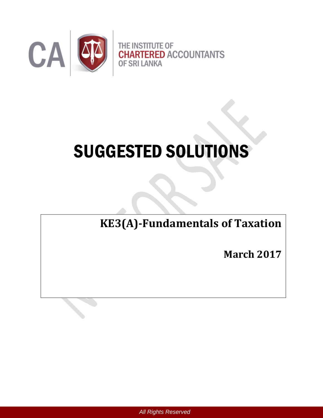

# SUGGESTED SOLUTIONS

**KE3(A)-Fundamentals of Taxation**

**March 2017**

*All Rights Reserved*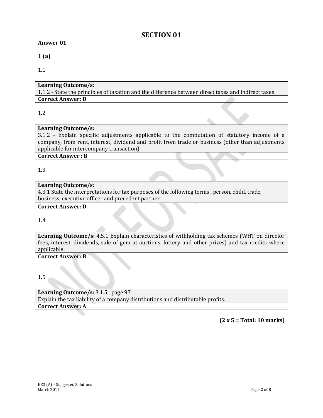# **SECTION 01**

#### **Answer 01**

**1 (a)**

1.1

# **Learning Outcome/s:**

1.1.2 - State the principles of taxation and the difference between direct taxes and indirect taxes **Correct Answer: D** 

## 1.2

# **Learning Outcome/s:**

3.1.2 - Explain specific adjustments applicable to the computation of statutory income of a company, from rent, interest, dividend and profit from trade or business (other than adjustments applicable for intercompany transaction)

 $\triangle$ 

#### **Correct Answer : B**

1.3

## **Learning Outcome/s:**

4.3.1 State the interpretations for tax purposes of the following terms , person, child, trade, business, executive officer and precedent partner

#### **Correct Answer: D**

1.4

**Learning Outcome/s:** 4.5.1 Explain characteristics of withholding tax schemes (WHT on director fees, interest, dividends, sale of gem at auctions, lottery and other prizes) and tax credits where applicable.

**Correct Answer: B** 

1.5

**Learning Outcome/s:** 3.1.5 page 97 Explain the tax liability of a company distributions and distributable profits. **Correct Answer: A** 

## **(2 x 5 = Total: 10 marks)**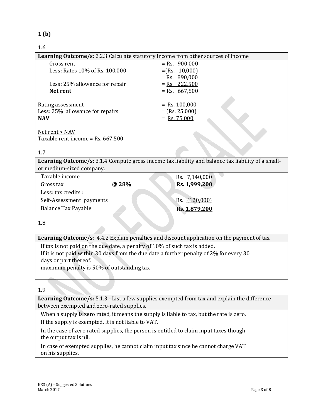## **1 (b)**

## 1.6

| Learning Outcome/s: 2.2.3 Calculate statutory income from other sources of income |                                                       |  |
|-----------------------------------------------------------------------------------|-------------------------------------------------------|--|
| Gross rent                                                                        | $=$ Rs. 900,000                                       |  |
| Less: Rates 10% of Rs. 100,000                                                    | $=(Rs. 10,000)$                                       |  |
|                                                                                   | $=$ Rs. 890,000                                       |  |
| Less: 25% allowance for repair                                                    | $=$ Rs. 222,500                                       |  |
| Net rent                                                                          | $=$ Rs. 667,500                                       |  |
| Rating assessment<br>Less: 25% allowance for repairs<br><b>NAV</b>                | $=$ Rs. 100,000<br>$=$ (Rs. 25,000)<br>$=$ Rs. 75,000 |  |
| Net rent > NAV<br>Taxable rent income = Rs. 667,500                               |                                                       |  |

#### 1.7

**Learning Outcome/s:** 3.1.4 Compute gross income tax liability and balance tax liability of a smallor medium-sized company.

| of including since company. |       |               |
|-----------------------------|-------|---------------|
| Taxable income              |       | Rs. 7,140,000 |
| Gross tax                   | @ 28% | Rs. 1,999,200 |
| Less: tax credits :         |       |               |
| Self-Assessment payments    |       | Rs. (120,000) |
| <b>Balance Tax Payable</b>  |       | Rs. 1,879,200 |
|                             |       |               |

1.8

|  | <b>Learning Outcome/s:</b> 4.4.2 Explain penalties and discount application on the payment of tax |  |
|--|---------------------------------------------------------------------------------------------------|--|
|  |                                                                                                   |  |

If tax is not paid on the due date, a penalty of 10% of such tax is added. If it is not paid within 30 days from the due date a further penalty of 2% for every 30 days or part thereof.

maximum penalty is 50% of outstanding tax

1.9

**Learning Outcome/s:** 5.1.3 - List a few supplies exempted from tax and explain the difference between exempted and zero-rated supplies.

When a supply is zero rated, it means the supply is liable to tax, but the rate is zero. If the supply is exempted, it is not liable to VAT.

In the case of zero rated supplies, the person is entitled to claim input taxes though the output tax is nil.

In case of exempted supplies, he cannot claim input tax since he cannot charge VAT on his supplies.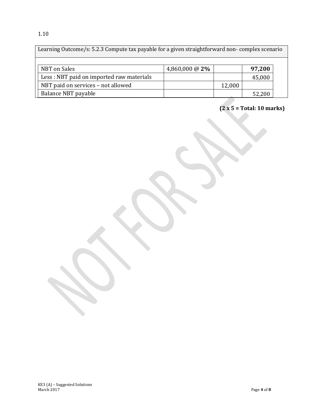## 1.10

Learning Outcome/s: 5.2.3 Compute tax payable for a given straightforward non- complex scenario

| NBT on Sales                             | 4,860,000 @ $2\%$ |        | 97,200 |
|------------------------------------------|-------------------|--------|--------|
| Less: NBT paid on imported raw materials |                   |        | 45,000 |
| NBT paid on services - not allowed       |                   | 12,000 |        |
| Balance NBT payable                      |                   |        | 52,200 |

**(2 x 5 = Total: 10 marks)**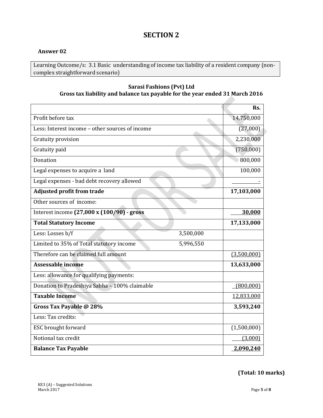# **SECTION 2**

#### **Answer 02**

Learning Outcome/s: 3.1 Basic understanding of income tax liability of a resident company (noncomplex straightforward scenario)

#### **Sarasi Fashions (Pvt) Ltd Gross tax liability and balance tax payable for the year ended 31 March 2016**

|                                                       | Rs.         |
|-------------------------------------------------------|-------------|
| Profit before tax                                     | 14,750,000  |
| Less: Interest income - other sources of income       | (27,000)    |
| Gratuity provision                                    | 2,230,000   |
| Gratuity paid                                         | (750,000)   |
| Donation                                              | 800,000     |
| Legal expenses to acquire a land                      | 100,000     |
| Legal expenses - bad debt recovery allowed            |             |
| <b>Adjusted profit from trade</b>                     | 17,103,000  |
| Other sources of income:                              |             |
| Interest income (27,000 x (100/90) - gross            | 30,000      |
| <b>Total Statutory Income</b>                         | 17,133,000  |
| Less: Losses b/f<br>3,500,000                         |             |
| Limited to 35% of Total statutory income<br>5,996,550 |             |
| Therefore can be claimed full amount                  | (3,500,000) |
| <b>Assessable income</b>                              | 13,633,000  |
| Less: allowance for qualifying payments:              |             |
| Donation to Pradeshiya Sabha - 100% claimable         | (800,000)   |
| <b>Taxable Income</b>                                 | 12,833,000  |
| Gross Tax Payable @ 28%                               | 3,593,240   |
| Less: Tax credits:                                    |             |
| ESC brought forward                                   | (1,500,000) |
| Notional tax credit                                   | (3,000)     |
| <b>Balance Tax Payable</b>                            | 2,090,240   |

**(Total: 10 marks)**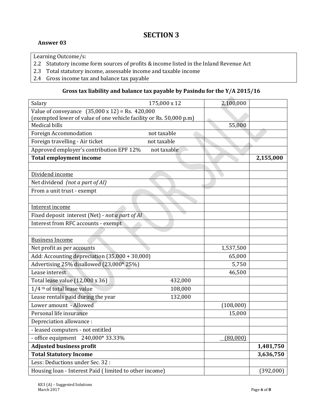# **SECTION 3**

#### **Answer 03**

Learning Outcome/s:

- 2.2 Statutory income form sources of profits & income listed in the Inland Revenue Act
- 2.3 Total statutory income, assessable income and taxable income
- 2.4 Gross income tax and balance tax payable

## **Gross tax liability and balance tax payable by Pasindu for the Y/A 2015/16**

| Salary                                                              | 175,000 x 12 | 2,100,000       |           |
|---------------------------------------------------------------------|--------------|-----------------|-----------|
| Value of conveyance $(35,000 \times 12) =$ Rs. 420,000              |              |                 |           |
| (exempted lower of value of one vehicle facility or Rs. 50,000 p.m) |              |                 |           |
| <b>Medical bills</b>                                                |              | 55,000          |           |
| <b>Foreign Accommodation</b>                                        | not taxable  |                 |           |
| Foreign travelling - Air ticket                                     | not taxable  |                 |           |
| Approved employer's contribution EPF 12%                            | not taxable  |                 |           |
| <b>Total employment income</b>                                      |              |                 | 2,155,000 |
|                                                                     |              |                 |           |
| Dividend income                                                     |              |                 |           |
| Net dividend (not a part of AI)                                     |              |                 |           |
| From a unit trust - exempt                                          |              |                 |           |
|                                                                     |              |                 |           |
| Interest income                                                     |              |                 |           |
| Fixed deposit interest (Net) - not a part of AI                     |              |                 |           |
| Interest from RFC accounts - exempt                                 |              |                 |           |
|                                                                     |              |                 |           |
| <b>Business Income</b>                                              |              |                 |           |
| Net profit as per accounts                                          |              | 1,537,500       |           |
| Add: Accounting depreciation (35,000 + 30,000)                      |              | 65,000          |           |
| Advertising 25% disallowed (23,000* 25%)                            |              | 5,750           |           |
| Lease interest                                                      |              | 46,500          |           |
| Total lease value (12,000 x 36)                                     | 432,000      |                 |           |
| 1/4 <sup>th</sup> of total lease value                              | 108,000      |                 |           |
| Lease rentals paid during the year                                  | 132,000      |                 |           |
| Lower amount - Allowed                                              |              | (108,000)       |           |
| Personal life insurance                                             |              | 15,000          |           |
| Depreciation allowance :                                            |              |                 |           |
| - leased computers - not entitled                                   |              |                 |           |
| - office equipment $240,000*33.33%$                                 |              | <u>(80,000)</u> |           |
| <b>Adjusted business profit</b>                                     |              |                 | 1,481,750 |
| <b>Total Statutory Income</b>                                       |              |                 | 3,636,750 |
| Less: Deductions under Sec. 32 :                                    |              |                 |           |
| Housing loan - Interest Paid (limited to other income)              |              |                 | (392,000) |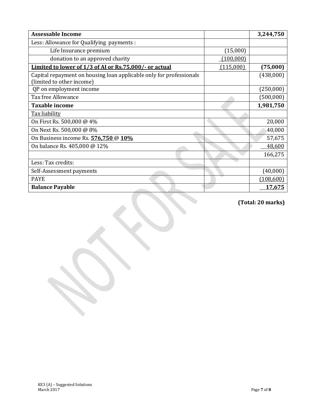| <b>Assessable Income</b>                                                                         |           | 3,244,750 |
|--------------------------------------------------------------------------------------------------|-----------|-----------|
| Less: Allowance for Qualifying payments :                                                        |           |           |
| Life Insurance premium                                                                           | (15,000)  |           |
| donation to an approved charity                                                                  | (100,000) |           |
| Limited to lower of 1/3 of AI or Rs.75,000/- or actual                                           | (115,000) | (75,000)  |
| Capital repayment on housing loan applicable only for professionals<br>(limited to other income) |           | (438,000) |
| QP on employment income                                                                          |           | (250,000) |
| Tax free Allowance                                                                               |           | (500,000) |
| <b>Taxable income</b>                                                                            |           | 1,981,750 |
| Tax liability                                                                                    |           |           |
| On First Rs. 500,000 @ 4%                                                                        |           | 20,000    |
| On Next Rs. 500,000 @ 8%                                                                         |           | 40,000    |
| On Business income Rs. 576,750 @ 10%                                                             |           | 57,675    |
| On balance Rs. 405,000 @ 12%                                                                     |           | 48,600    |
|                                                                                                  |           | 166,275   |
| Less: Tax credits:                                                                               |           |           |
| Self-Assessment payments                                                                         |           | (40,000)  |
| <b>PAYE</b>                                                                                      |           | (108,600) |
| <b>Balance Payable</b>                                                                           |           | 17,675    |

**(Total: 20 marks)**